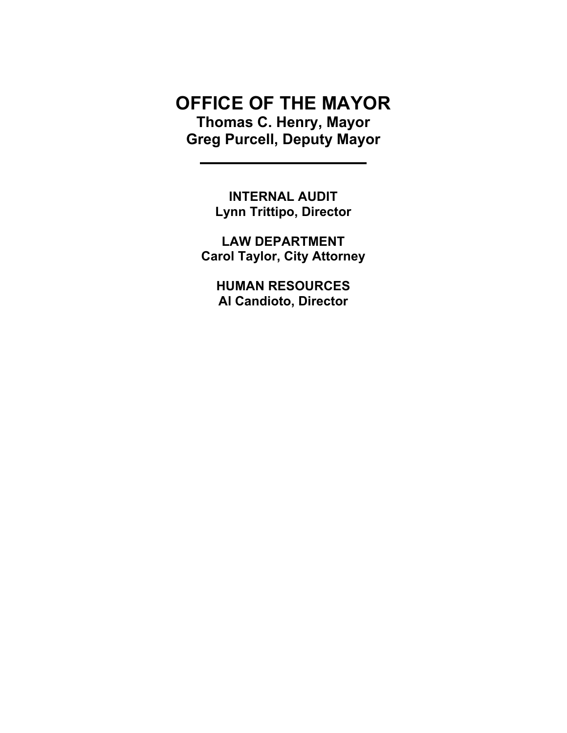# OFFICE OF THE MAYOR Thomas C. Henry, Mayor Greg Purcell, Deputy Mayor

INTERNAL AUDIT Lynn Trittipo, Director

LAW DEPARTMENT Carol Taylor, City Attorney

HUMAN RESOURCES Al Candioto, Director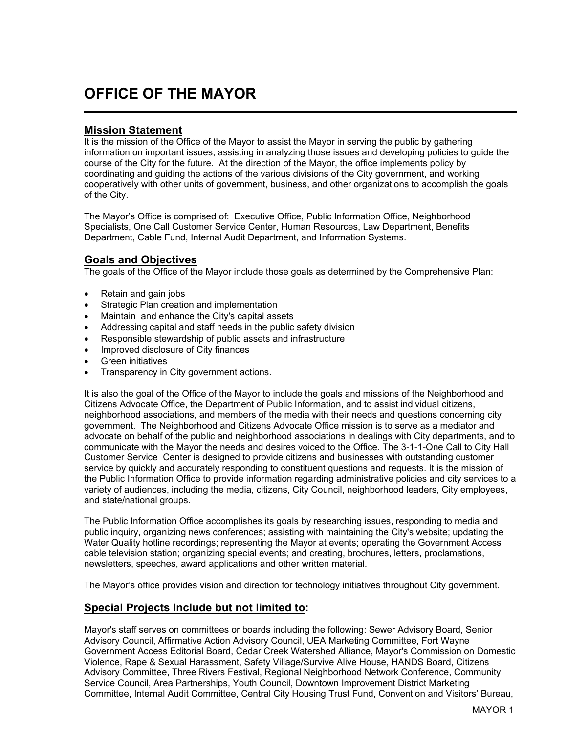# OFFICE OF THE MAYOR

### Mission Statement

l

It is the mission of the Office of the Mayor to assist the Mayor in serving the public by gathering information on important issues, assisting in analyzing those issues and developing policies to guide the course of the City for the future. At the direction of the Mayor, the office implements policy by coordinating and guiding the actions of the various divisions of the City government, and working cooperatively with other units of government, business, and other organizations to accomplish the goals of the City.

The Mayor's Office is comprised of: Executive Office, Public Information Office, Neighborhood Specialists, One Call Customer Service Center, Human Resources, Law Department, Benefits Department, Cable Fund, Internal Audit Department, and Information Systems.

#### Goals and Objectives

The goals of the Office of the Mayor include those goals as determined by the Comprehensive Plan:

- Retain and gain jobs
- Strategic Plan creation and implementation
- Maintain and enhance the City's capital assets
- Addressing capital and staff needs in the public safety division
- Responsible stewardship of public assets and infrastructure
- Improved disclosure of City finances
- Green initiatives
- Transparency in City government actions.

It is also the goal of the Office of the Mayor to include the goals and missions of the Neighborhood and Citizens Advocate Office, the Department of Public Information, and to assist individual citizens, neighborhood associations, and members of the media with their needs and questions concerning city government. The Neighborhood and Citizens Advocate Office mission is to serve as a mediator and advocate on behalf of the public and neighborhood associations in dealings with City departments, and to communicate with the Mayor the needs and desires voiced to the Office. The 3-1-1-One Call to City Hall Customer Service Center is designed to provide citizens and businesses with outstanding customer service by quickly and accurately responding to constituent questions and requests. It is the mission of the Public Information Office to provide information regarding administrative policies and city services to a variety of audiences, including the media, citizens, City Council, neighborhood leaders, City employees, and state/national groups.

The Public Information Office accomplishes its goals by researching issues, responding to media and public inquiry, organizing news conferences; assisting with maintaining the City's website; updating the Water Quality hotline recordings; representing the Mayor at events; operating the Government Access cable television station; organizing special events; and creating, brochures, letters, proclamations, newsletters, speeches, award applications and other written material.

The Mayor's office provides vision and direction for technology initiatives throughout City government.

### Special Projects Include but not limited to:

Mayor's staff serves on committees or boards including the following: Sewer Advisory Board, Senior Advisory Council, Affirmative Action Advisory Council, UEA Marketing Committee, Fort Wayne Government Access Editorial Board, Cedar Creek Watershed Alliance, Mayor's Commission on Domestic Violence, Rape & Sexual Harassment, Safety Village/Survive Alive House, HANDS Board, Citizens Advisory Committee, Three Rivers Festival, Regional Neighborhood Network Conference, Community Service Council, Area Partnerships, Youth Council, Downtown Improvement District Marketing Committee, Internal Audit Committee, Central City Housing Trust Fund, Convention and Visitors' Bureau,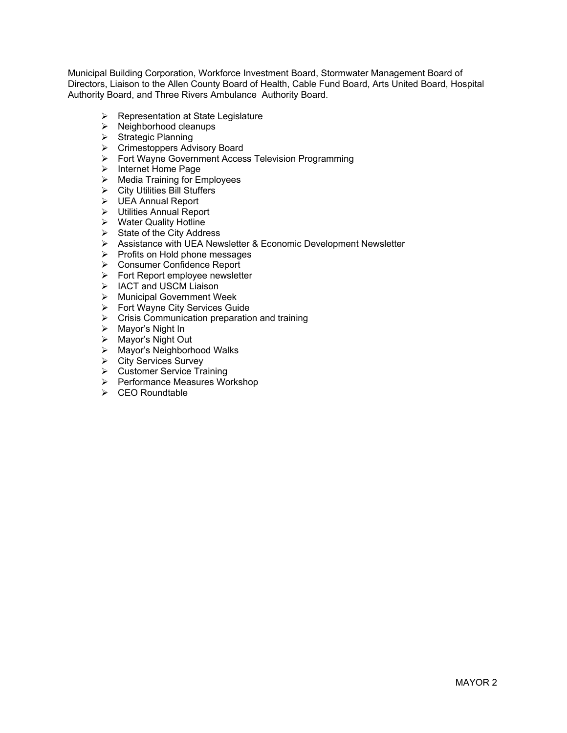Municipal Building Corporation, Workforce Investment Board, Stormwater Management Board of Directors, Liaison to the Allen County Board of Health, Cable Fund Board, Arts United Board, Hospital Authority Board, and Three Rivers Ambulance Authority Board.

- $\triangleright$  Representation at State Legislature
- $\triangleright$  Neighborhood cleanups
- $\triangleright$  Strategic Planning
- ▶ Crimestoppers Advisory Board
- Fort Wayne Government Access Television Programming
- $\triangleright$  Internet Home Page
- $\triangleright$  Media Training for Employees
- $\triangleright$  City Utilities Bill Stuffers
- UEA Annual Report
- Utilities Annual Report
- $\triangleright$  Water Quality Hotline
- $\triangleright$  State of the City Address
- Assistance with UEA Newsletter & Economic Development Newsletter
- $\triangleright$  Profits on Hold phone messages
- Consumer Confidence Report
- $\triangleright$  Fort Report employee newsletter
- > IACT and USCM Liaison
- > Municipal Government Week
- $\triangleright$  Fort Wayne City Services Guide
- $\triangleright$  Crisis Communication preparation and training
- $\triangleright$  Mayor's Night In
- $\triangleright$  Mavor's Night Out
- > Mayor's Neighborhood Walks
- **▶ City Services Survey**
- Customer Service Training
- Performance Measures Workshop
- $\triangleright$  CEO Roundtable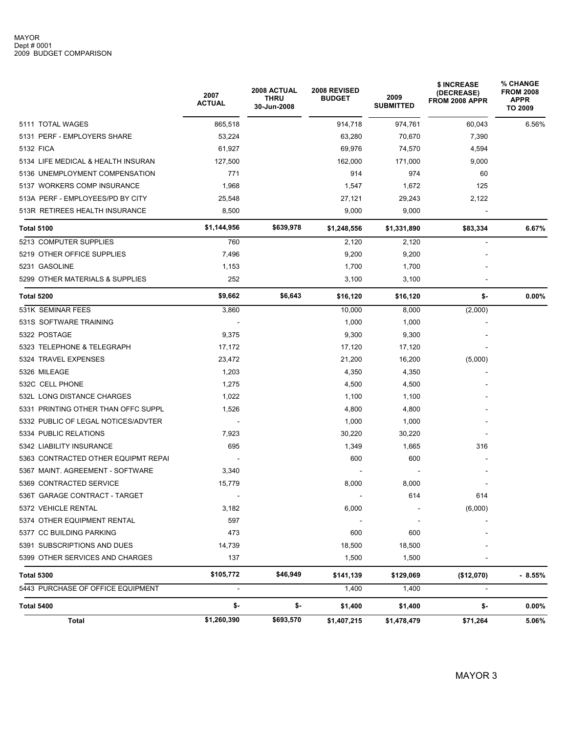|                                     | 2007<br><b>ACTUAL</b> | 2008 ACTUAL<br><b>THRU</b><br>30-Jun-2008 | 2008 REVISED<br><b>BUDGET</b> | 2009<br><b>SUBMITTED</b> | \$ INCREASE<br>(DECREASE)<br>FROM 2008 APPR | % CHANGE<br><b>FROM 2008</b><br>APPR<br><b>TO 2009</b> |  |
|-------------------------------------|-----------------------|-------------------------------------------|-------------------------------|--------------------------|---------------------------------------------|--------------------------------------------------------|--|
| 5111 TOTAL WAGES                    | 865,518               |                                           | 914,718                       | 974,761                  | 60,043                                      | 6.56%                                                  |  |
| 5131 PERF - EMPLOYERS SHARE         | 53,224                |                                           | 63,280                        | 70,670                   | 7,390                                       |                                                        |  |
| 5132 FICA                           | 61,927                |                                           | 69,976                        | 74,570                   | 4,594                                       |                                                        |  |
| 5134 LIFE MEDICAL & HEALTH INSURAN  | 127,500               |                                           | 162,000                       | 171,000                  | 9,000                                       |                                                        |  |
| 5136 UNEMPLOYMENT COMPENSATION      | 771                   |                                           | 914                           | 974                      | 60                                          |                                                        |  |
| 5137 WORKERS COMP INSURANCE         | 1,968                 |                                           | 1,547                         | 1,672                    | 125                                         |                                                        |  |
| 513A PERF - EMPLOYEES/PD BY CITY    | 25,548                |                                           | 27,121                        | 29,243                   | 2,122                                       |                                                        |  |
| 513R RETIREES HEALTH INSURANCE      | 8,500                 |                                           | 9,000                         | 9,000                    |                                             |                                                        |  |
| <b>Total 5100</b>                   | \$1,144,956           | \$639,978                                 | \$1,248,556                   | \$1,331,890              | \$83,334                                    | 6.67%                                                  |  |
| 5213 COMPUTER SUPPLIES              | 760                   |                                           | 2,120                         | 2,120                    | $\overline{\phantom{a}}$                    |                                                        |  |
| 5219 OTHER OFFICE SUPPLIES          | 7,496                 |                                           | 9,200                         | 9,200                    |                                             |                                                        |  |
| 5231 GASOLINE                       | 1,153                 |                                           | 1,700                         | 1,700                    |                                             |                                                        |  |
| 5299 OTHER MATERIALS & SUPPLIES     | 252                   |                                           | 3,100                         | 3,100                    |                                             |                                                        |  |
| Total 5200                          | \$9,662               | \$6,643                                   | \$16,120                      | \$16,120                 | \$-                                         | $0.00\%$                                               |  |
| 531K SEMINAR FEES                   | 3,860                 |                                           | 10,000                        | 8,000                    | (2,000)                                     |                                                        |  |
| 531S SOFTWARE TRAINING              |                       |                                           | 1,000                         | 1,000                    |                                             |                                                        |  |
| 5322 POSTAGE                        | 9,375                 |                                           | 9,300                         | 9,300                    |                                             |                                                        |  |
| 5323 TELEPHONE & TELEGRAPH          | 17,172                |                                           | 17,120                        | 17,120                   |                                             |                                                        |  |
| 5324 TRAVEL EXPENSES                | 23,472                |                                           | 21,200                        | 16,200                   | (5,000)                                     |                                                        |  |
| 5326 MILEAGE                        | 1,203                 |                                           | 4,350                         | 4,350                    |                                             |                                                        |  |
| 532C CELL PHONE                     | 1,275                 |                                           | 4,500                         | 4,500                    |                                             |                                                        |  |
| 532L LONG DISTANCE CHARGES          | 1,022                 |                                           | 1,100                         | 1,100                    |                                             |                                                        |  |
| 5331 PRINTING OTHER THAN OFFC SUPPL | 1,526                 |                                           | 4,800                         | 4,800                    |                                             |                                                        |  |
| 5332 PUBLIC OF LEGAL NOTICES/ADVTER | $\sim$                |                                           | 1,000                         | 1,000                    |                                             |                                                        |  |
| 5334 PUBLIC RELATIONS               | 7,923                 |                                           | 30,220                        | 30,220                   |                                             |                                                        |  |
| 5342 LIABILITY INSURANCE            | 695                   |                                           | 1,349                         | 1,665                    | 316                                         |                                                        |  |
| 5363 CONTRACTED OTHER EQUIPMT REPAI |                       |                                           | 600                           | 600                      |                                             |                                                        |  |
| 5367 MAINT. AGREEMENT - SOFTWARE    | 3,340                 |                                           |                               |                          |                                             |                                                        |  |
| 5369 CONTRACTED SERVICE             | 15,779                |                                           | 8,000                         | 8,000                    |                                             |                                                        |  |
| 536T GARAGE CONTRACT - TARGET       | $\sim$                |                                           |                               | 614                      | 614                                         |                                                        |  |
| 5372 VEHICLE RENTAL                 | 3,182                 |                                           | 6,000                         |                          | (6,000)                                     |                                                        |  |
| 5374 OTHER EQUIPMENT RENTAL         | 597                   |                                           |                               |                          |                                             |                                                        |  |
| 5377 CC BUILDING PARKING            | 473                   |                                           | 600                           | 600                      |                                             |                                                        |  |
| 5391 SUBSCRIPTIONS AND DUES         | 14,739                |                                           | 18,500                        | 18,500                   |                                             |                                                        |  |
| 5399 OTHER SERVICES AND CHARGES     | 137                   |                                           | 1,500                         | 1,500                    |                                             |                                                        |  |
| <b>Total 5300</b>                   | \$105,772             | \$46,949                                  | \$141,139                     | \$129,069                | (\$12,070)                                  | $-8.55\%$                                              |  |
| 5443 PURCHASE OF OFFICE EQUIPMENT   | $\blacksquare$        |                                           | 1,400                         | 1,400                    | $\blacksquare$                              |                                                        |  |
| <b>Total 5400</b>                   | \$-                   | \$-                                       | \$1,400                       | \$1,400                  | \$-                                         | $0.00\%$                                               |  |
| Total                               | \$1,260,390           | \$693,570                                 | \$1,407,215                   | \$1,478,479              | \$71,264                                    | 5.06%                                                  |  |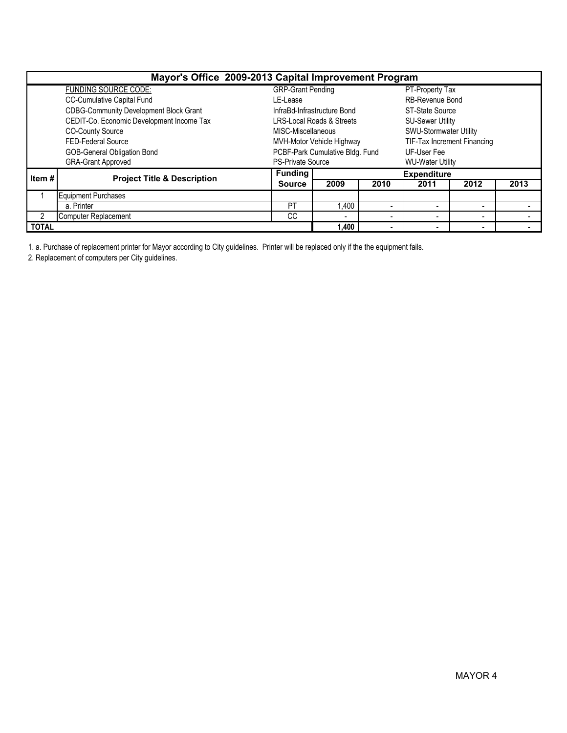| Mayor's Office 2009-2013 Capital Improvement Program |                                               |                          |                                      |      |                             |                          |      |  |  |  |  |
|------------------------------------------------------|-----------------------------------------------|--------------------------|--------------------------------------|------|-----------------------------|--------------------------|------|--|--|--|--|
|                                                      | <b>FUNDING SOURCE CODE:</b>                   | <b>GRP-Grant Pending</b> |                                      |      | PT-Property Tax             |                          |      |  |  |  |  |
|                                                      | CC-Cumulative Capital Fund                    | LE-Lease                 |                                      |      | <b>RB-Revenue Bond</b>      |                          |      |  |  |  |  |
|                                                      | <b>CDBG-Community Development Block Grant</b> |                          | InfraBd-Infrastructure Bond          |      | ST-State Source             |                          |      |  |  |  |  |
|                                                      | CEDIT-Co. Economic Development Income Tax     |                          | <b>LRS-Local Roads &amp; Streets</b> |      | <b>SU-Sewer Utility</b>     |                          |      |  |  |  |  |
|                                                      | <b>CO-County Source</b>                       | MISC-Miscellaneous       |                                      |      | SWU-Stormwater Utility      |                          |      |  |  |  |  |
|                                                      | FED-Federal Source                            |                          | MVH-Motor Vehicle Highway            |      | TIF-Tax Increment Financing |                          |      |  |  |  |  |
|                                                      | <b>GOB-General Obligation Bond</b>            |                          | PCBF-Park Cumulative Bldg. Fund      |      | UF-User Fee                 |                          |      |  |  |  |  |
|                                                      | <b>GRA-Grant Approved</b>                     | <b>PS-Private Source</b> |                                      |      | <b>WU-Water Utility</b>     |                          |      |  |  |  |  |
| Item#                                                | <b>Project Title &amp; Description</b>        | <b>Funding</b>           |                                      |      | <b>Expenditure</b>          |                          |      |  |  |  |  |
|                                                      |                                               | <b>Source</b>            | 2009                                 | 2010 | 2011                        | 2012                     | 2013 |  |  |  |  |
|                                                      | <b>Equipment Purchases</b>                    |                          |                                      |      |                             |                          |      |  |  |  |  |
|                                                      | a. Printer                                    | <b>PT</b>                | 1,400                                |      |                             | $\overline{\phantom{a}}$ |      |  |  |  |  |
|                                                      | <b>Computer Replacement</b>                   | CС                       | $\overline{\phantom{0}}$             |      |                             | $\overline{\phantom{a}}$ |      |  |  |  |  |
| <b>TOTAL</b>                                         |                                               |                          | 1,400                                |      |                             | ٠                        |      |  |  |  |  |

1. a. Purchase of replacement printer for Mayor according to City guidelines. Printer will be replaced only if the the equipment fails.

2. Replacement of computers per City guidelines.